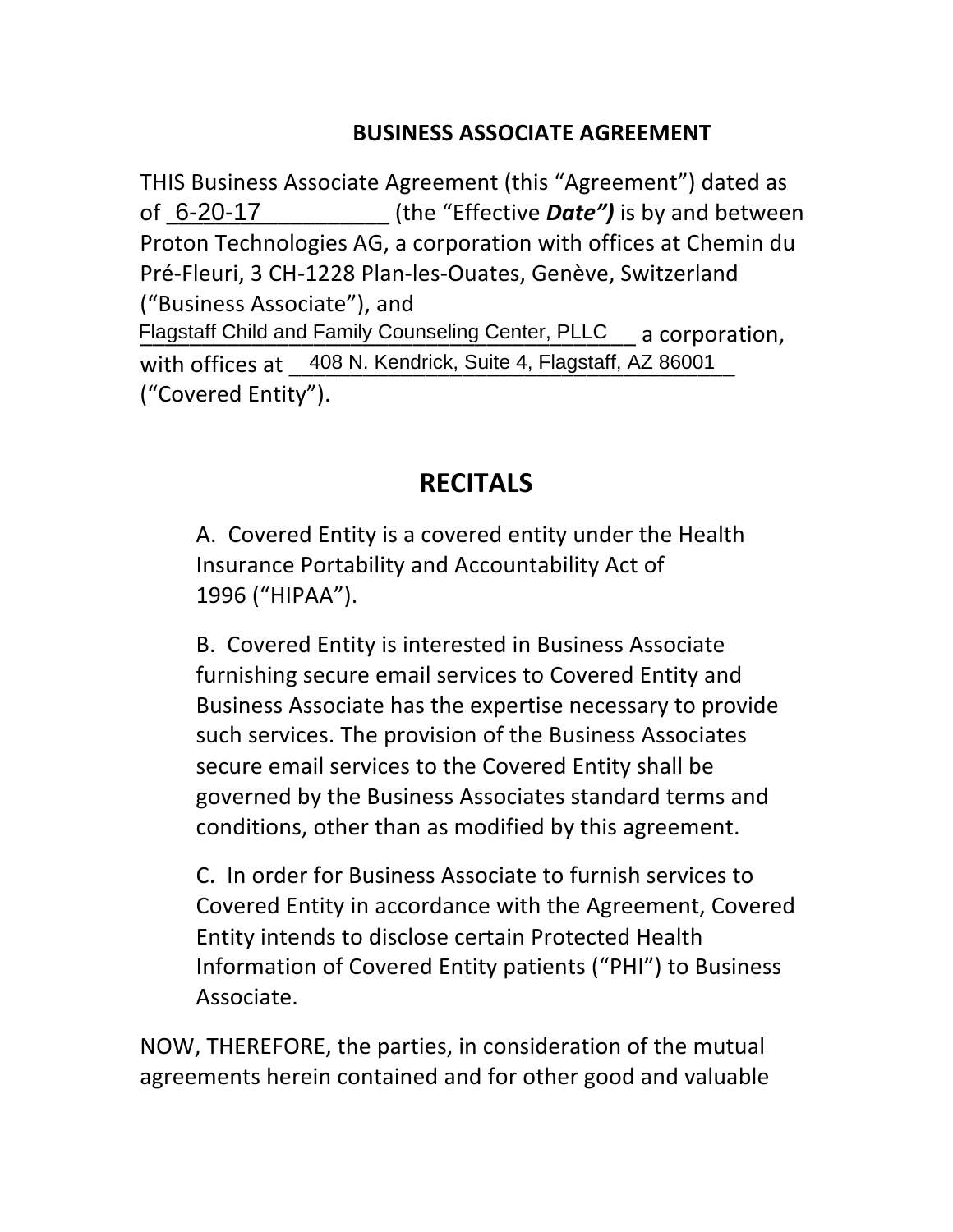#### **BUSINESS ASSOCIATE AGREEMENT**

THIS Business Associate Agreement (this "Agreement") dated as (the "Effective **Date")** is by and between Proton Technologies AG, a corporation with offices at Chemin du Pré-Fleuri, 3 CH-1228 Plan-les-Ouates, Genève, Switzerland ("Business Associate"), and Flagstaff Child and Family Counseling Center, PLLC a corporation, with offices at \_408 N. Kendrick, Suite 4, Flagstaff, AZ 86001\_ ("Covered Entity"). 6-20-17

# **RECITALS**

A. Covered Entity is a covered entity under the Health Insurance Portability and Accountability Act of 1996 ("HIPAA"). 

B. Covered Entity is interested in Business Associate furnishing secure email services to Covered Entity and Business Associate has the expertise necessary to provide such services. The provision of the Business Associates secure email services to the Covered Entity shall be governed by the Business Associates standard terms and conditions, other than as modified by this agreement.

C. In order for Business Associate to furnish services to Covered Entity in accordance with the Agreement, Covered Entity intends to disclose certain Protected Health Information of Covered Entity patients ("PHI") to Business Associate. 

NOW, THEREFORE, the parties, in consideration of the mutual agreements herein contained and for other good and valuable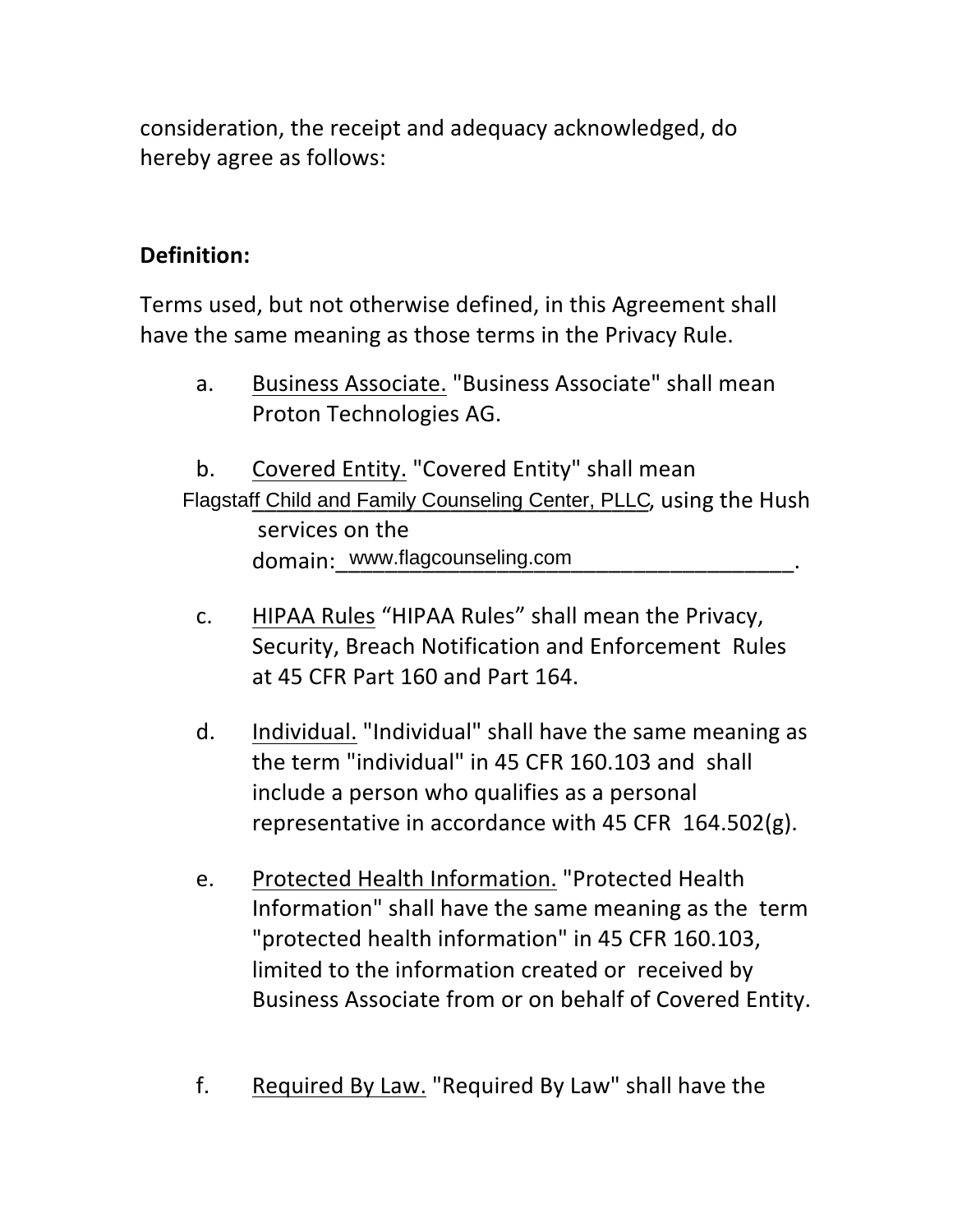consideration, the receipt and adequacy acknowledged, do hereby agree as follows:

### **Definition:**

Terms used, but not otherwise defined, in this Agreement shall have the same meaning as those terms in the Privacy Rule.

a. Business Associate. "Business Associate" shall mean Proton Technologies AG.

b. Covered Entity. "Covered Entity" shall mean Flagstaff Child and Family Counseling Center, PLLC, using the Hush services on the domain:\_www.flagcounseling.com\_\_\_\_\_\_\_\_\_\_\_\_\_\_\_\_\_\_\_\_\_\_\_\_\_\_\_.

- c. HIPAA Rules "HIPAA Rules" shall mean the Privacy, Security, Breach Notification and Enforcement Rules at 45 CFR Part 160 and Part 164.
- d. Individual. "Individual" shall have the same meaning as the term "individual" in 45 CFR 160.103 and shall include a person who qualifies as a personal representative in accordance with  $45$  CFR  $164.502(g)$ .
- e. Protected Health Information. "Protected Health Information" shall have the same meaning as the term "protected health information" in 45 CFR 160.103, limited to the information created or received by Business Associate from or on behalf of Covered Entity.
- f. Required By Law. "Required By Law" shall have the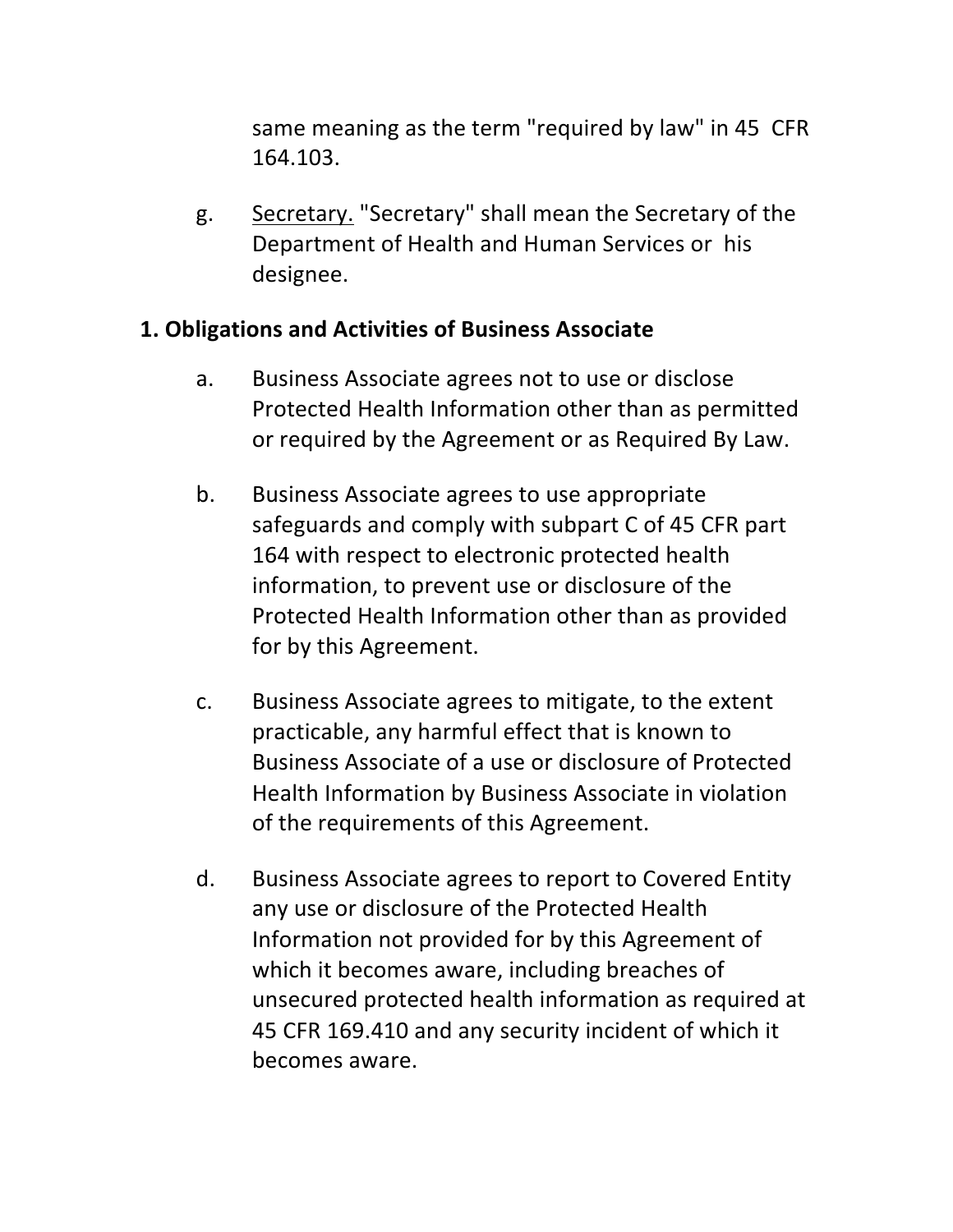same meaning as the term "required by law" in 45 CFR 164.103. 

g. Secretary. "Secretary" shall mean the Secretary of the Department of Health and Human Services or his designee. 

#### **1. Obligations and Activities of Business Associate**

- a. Business Associate agrees not to use or disclose Protected Health Information other than as permitted or required by the Agreement or as Required By Law.
- b. Business Associate agrees to use appropriate safeguards and comply with subpart C of 45 CFR part 164 with respect to electronic protected health information, to prevent use or disclosure of the Protected Health Information other than as provided for by this Agreement.
- c. Business Associate agrees to mitigate, to the extent practicable, any harmful effect that is known to Business Associate of a use or disclosure of Protected Health Information by Business Associate in violation of the requirements of this Agreement.
- d. Business Associate agrees to report to Covered Entity any use or disclosure of the Protected Health Information not provided for by this Agreement of which it becomes aware, including breaches of unsecured protected health information as required at 45 CFR 169.410 and any security incident of which it becomes aware.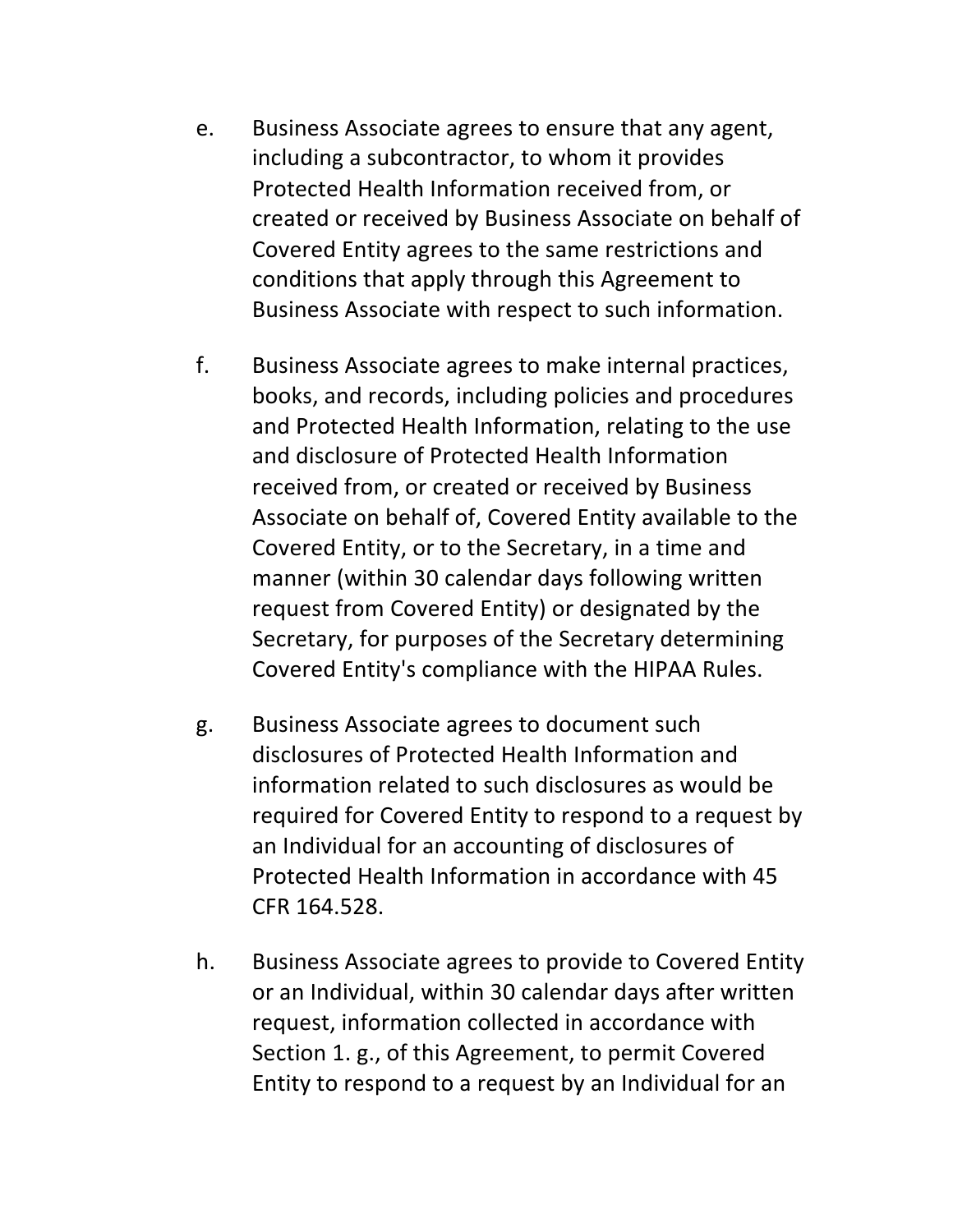- e. Business Associate agrees to ensure that any agent, including a subcontractor, to whom it provides Protected Health Information received from, or created or received by Business Associate on behalf of Covered Entity agrees to the same restrictions and conditions that apply through this Agreement to Business Associate with respect to such information.
- f. Business Associate agrees to make internal practices, books, and records, including policies and procedures and Protected Health Information, relating to the use and disclosure of Protected Health Information received from, or created or received by Business Associate on behalf of, Covered Entity available to the Covered Entity, or to the Secretary, in a time and manner (within 30 calendar days following written request from Covered Entity) or designated by the Secretary, for purposes of the Secretary determining Covered Entity's compliance with the HIPAA Rules.
- g. Business Associate agrees to document such disclosures of Protected Health Information and information related to such disclosures as would be required for Covered Entity to respond to a request by an Individual for an accounting of disclosures of Protected Health Information in accordance with 45 CFR 164.528.
- h. Business Associate agrees to provide to Covered Entity or an Individual, within 30 calendar days after written request, information collected in accordance with Section 1. g., of this Agreement, to permit Covered Entity to respond to a request by an Individual for an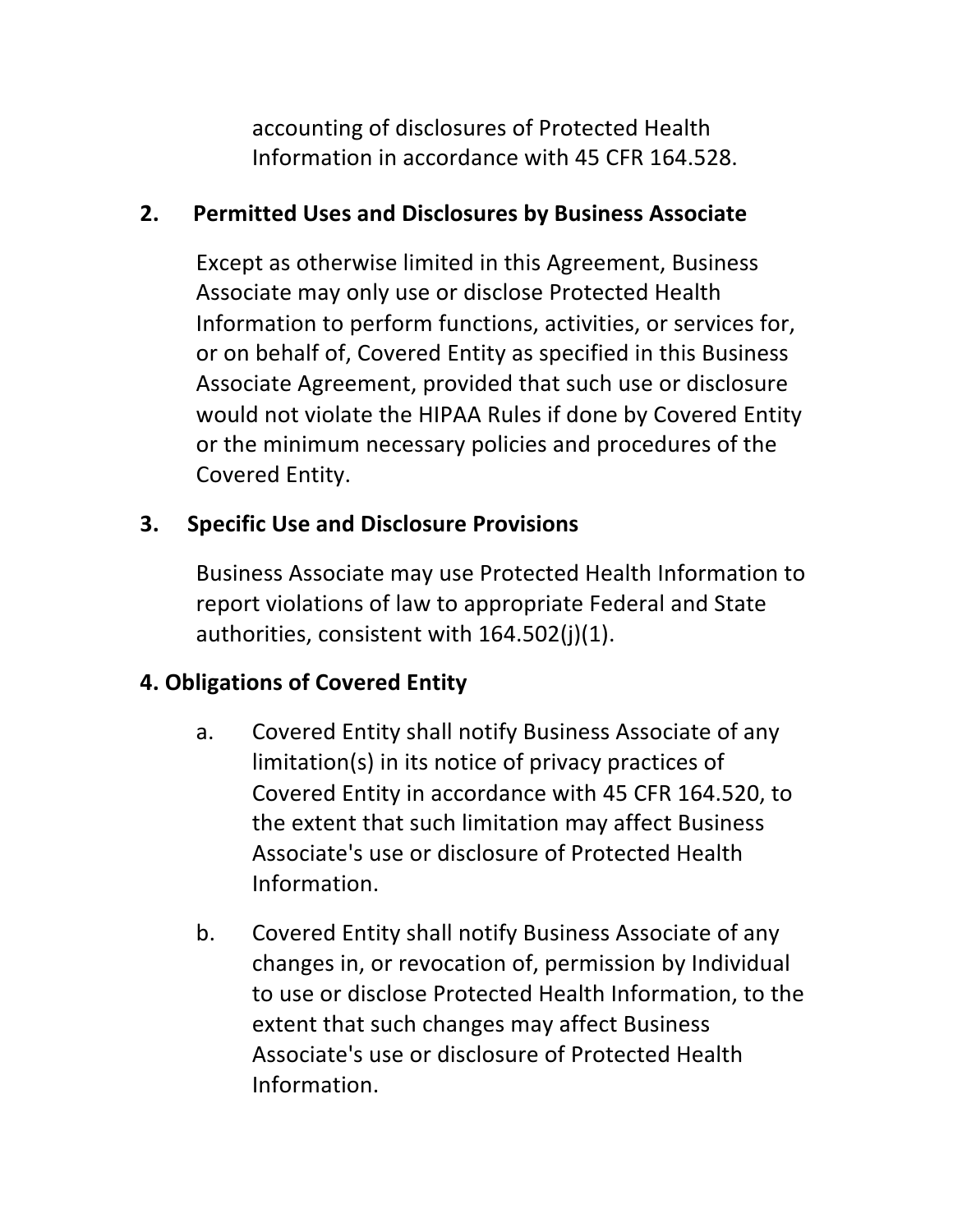accounting of disclosures of Protected Health Information in accordance with 45 CFR 164.528.

#### **2.** Permitted Uses and Disclosures by Business Associate

Except as otherwise limited in this Agreement, Business Associate may only use or disclose Protected Health Information to perform functions, activities, or services for, or on behalf of, Covered Entity as specified in this Business Associate Agreement, provided that such use or disclosure would not violate the HIPAA Rules if done by Covered Entity or the minimum necessary policies and procedures of the Covered Entity.

#### **3.** Specific Use and Disclosure Provisions

Business Associate may use Protected Health Information to report violations of law to appropriate Federal and State authorities, consistent with  $164.502(j)(1)$ .

## **4. Obligations of Covered Entity**

- a. Covered Entity shall notify Business Associate of any limitation(s) in its notice of privacy practices of Covered Entity in accordance with 45 CFR 164.520, to the extent that such limitation may affect Business Associate's use or disclosure of Protected Health Information.
- b. Covered Entity shall notify Business Associate of any changes in, or revocation of, permission by Individual to use or disclose Protected Health Information, to the extent that such changes may affect Business Associate's use or disclosure of Protected Health Information.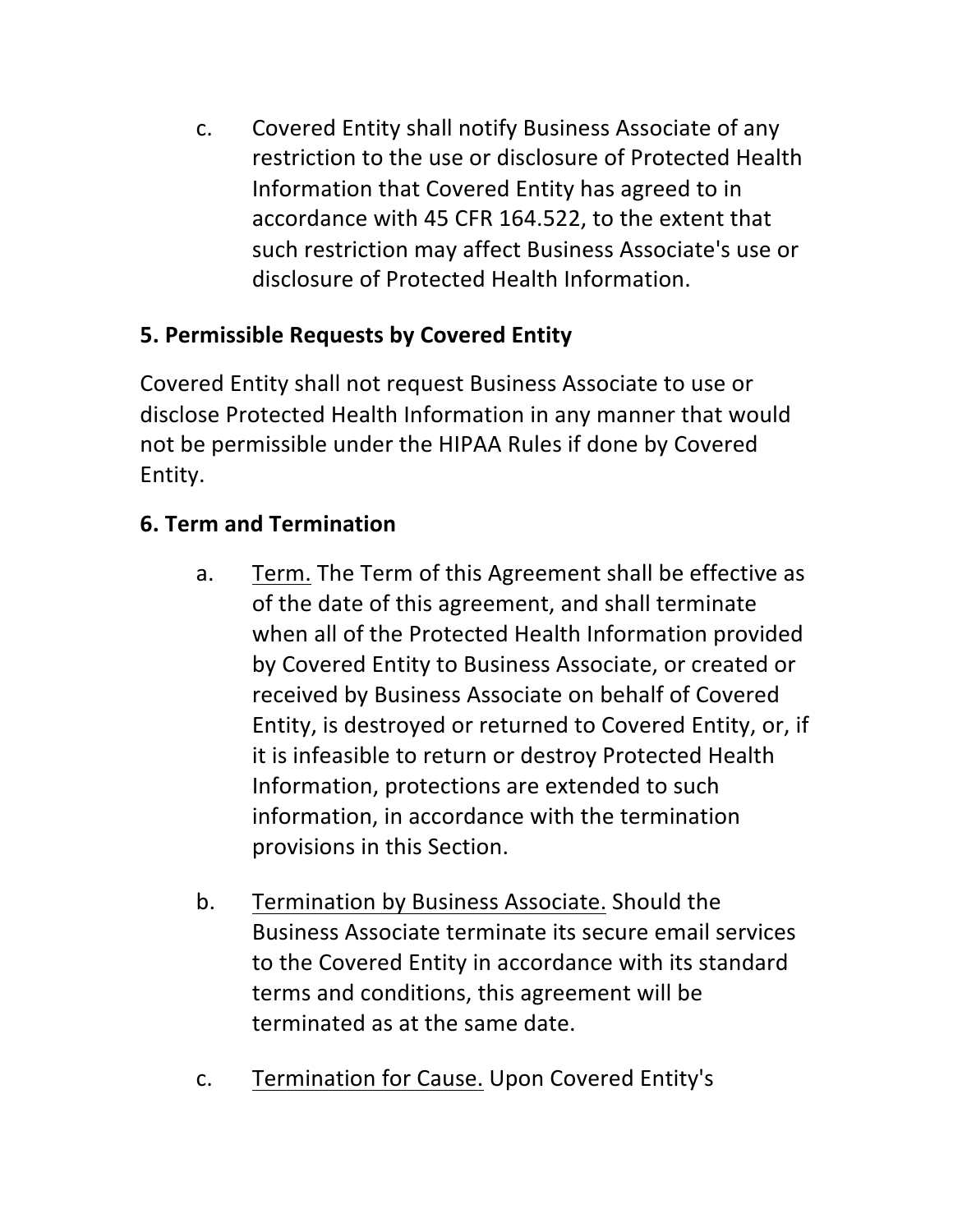c. Covered Entity shall notify Business Associate of any restriction to the use or disclosure of Protected Health Information that Covered Entity has agreed to in accordance with 45 CFR 164.522, to the extent that such restriction may affect Business Associate's use or disclosure of Protected Health Information.

## **5. Permissible Requests by Covered Entity**

Covered Entity shall not request Business Associate to use or disclose Protected Health Information in any manner that would not be permissible under the HIPAA Rules if done by Covered Entity. 

# **6. Term and Termination**

- a. Term. The Term of this Agreement shall be effective as of the date of this agreement, and shall terminate when all of the Protected Health Information provided by Covered Entity to Business Associate, or created or received by Business Associate on behalf of Covered Entity, is destroyed or returned to Covered Entity, or, if it is infeasible to return or destroy Protected Health Information, protections are extended to such information, in accordance with the termination provisions in this Section.
- b. Termination by Business Associate. Should the Business Associate terminate its secure email services to the Covered Entity in accordance with its standard terms and conditions, this agreement will be terminated as at the same date.
- c. Termination for Cause. Upon Covered Entity's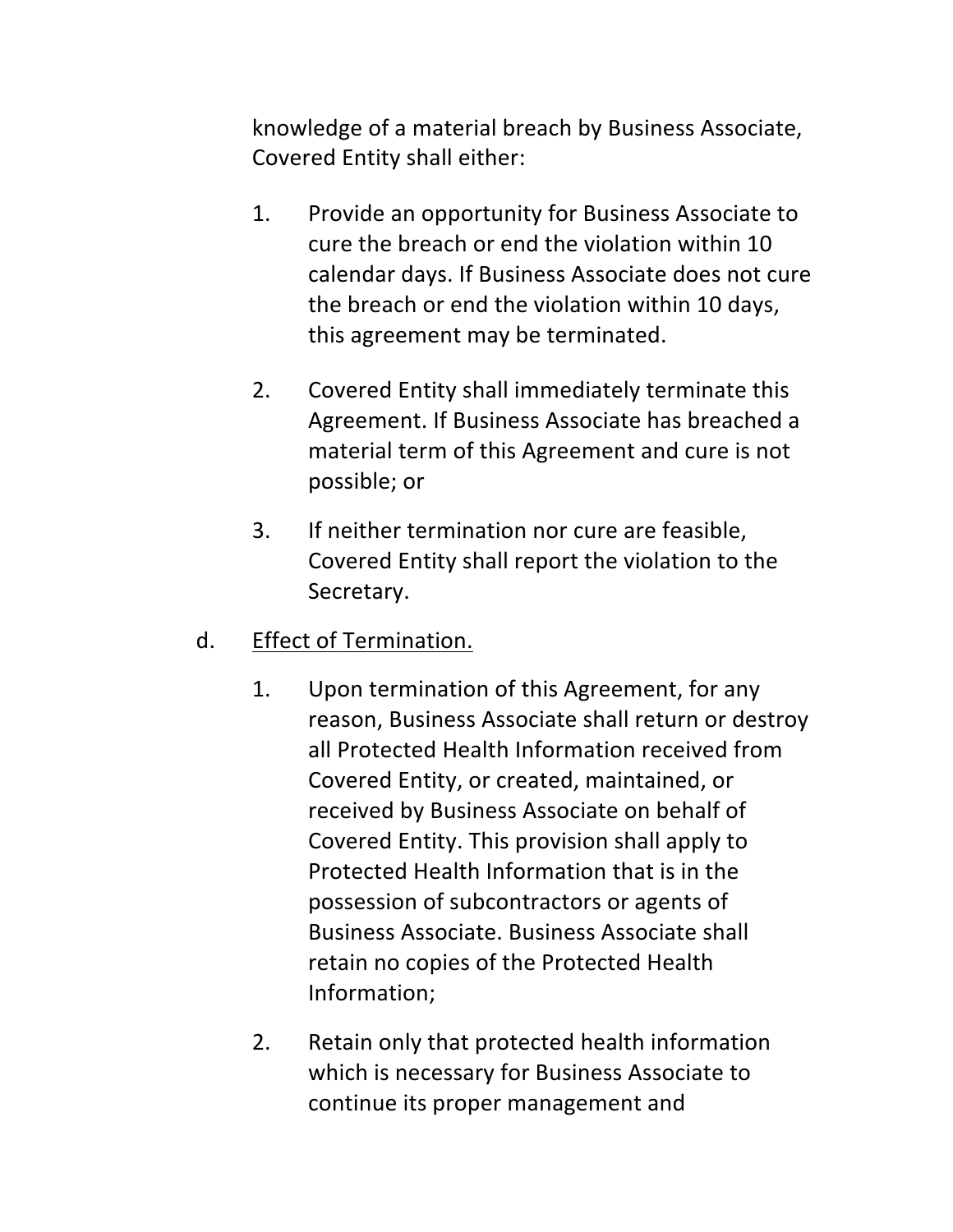knowledge of a material breach by Business Associate, Covered Entity shall either:

- 1. Provide an opportunity for Business Associate to cure the breach or end the violation within 10 calendar days. If Business Associate does not cure the breach or end the violation within 10 days, this agreement may be terminated.
- 2. Covered Entity shall immediately terminate this Agreement. If Business Associate has breached a material term of this Agreement and cure is not possible; or
- 3. If neither termination nor cure are feasible, Covered Entity shall report the violation to the Secretary.
- d. Effect of Termination.
	- 1. Upon termination of this Agreement, for any reason, Business Associate shall return or destroy all Protected Health Information received from Covered Entity, or created, maintained, or received by Business Associate on behalf of Covered Entity. This provision shall apply to Protected Health Information that is in the possession of subcontractors or agents of Business Associate. Business Associate shall retain no copies of the Protected Health Information;
	- 2. Retain only that protected health information which is necessary for Business Associate to continue its proper management and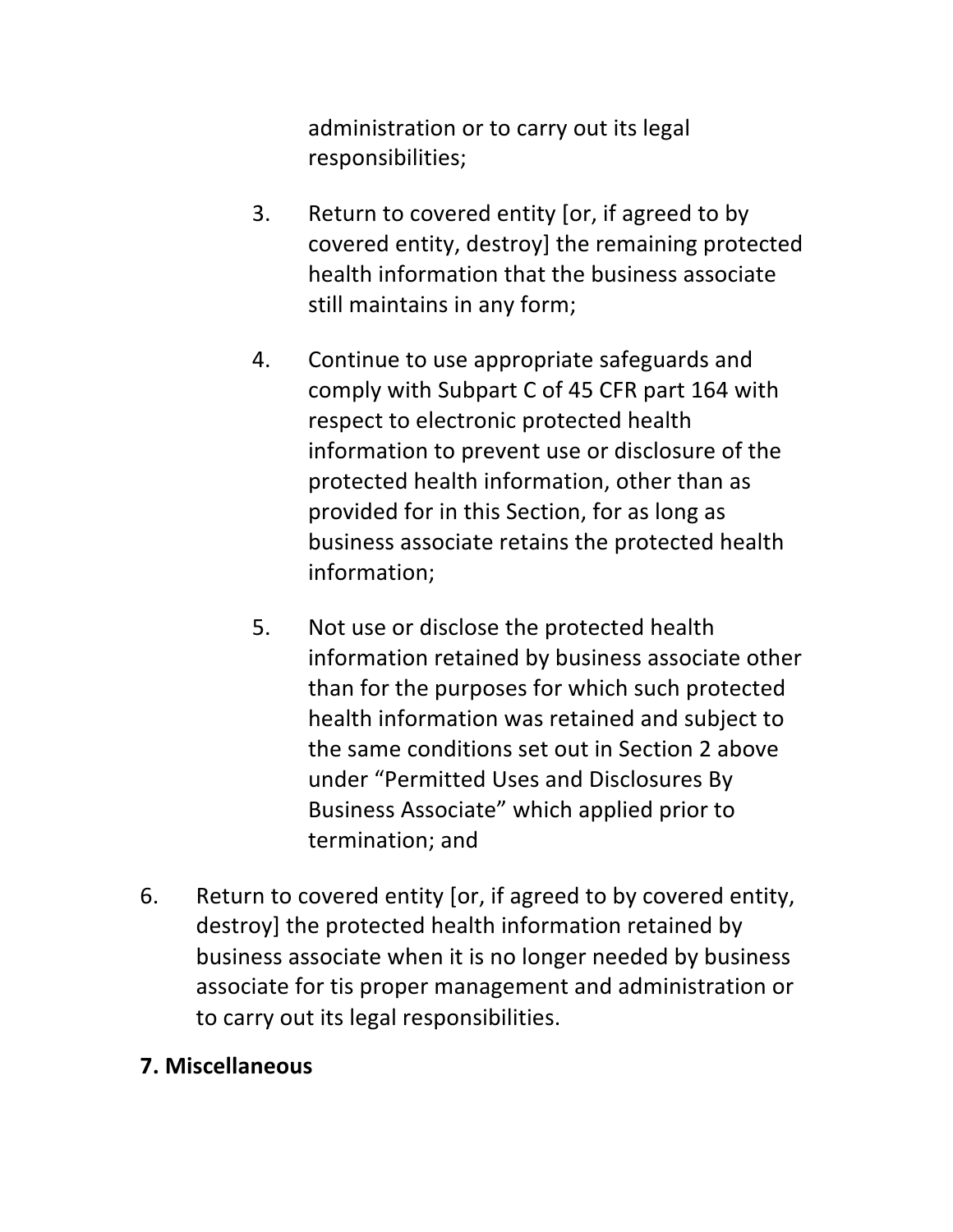administration or to carry out its legal responsibilities; 

- 3. Return to covered entity  $\lceil$  or, if agreed to by covered entity, destroy] the remaining protected health information that the business associate still maintains in any form;
- 4. Continue to use appropriate safeguards and comply with Subpart C of 45 CFR part 164 with respect to electronic protected health information to prevent use or disclosure of the protected health information, other than as provided for in this Section, for as long as business associate retains the protected health information;
- 5. Not use or disclose the protected health information retained by business associate other than for the purposes for which such protected health information was retained and subject to the same conditions set out in Section 2 above under "Permitted Uses and Disclosures By Business Associate" which applied prior to termination; and
- 6. Return to covered entity [or, if agreed to by covered entity, destroy] the protected health information retained by business associate when it is no longer needed by business associate for tis proper management and administration or to carry out its legal responsibilities.

#### **7. Miscellaneous**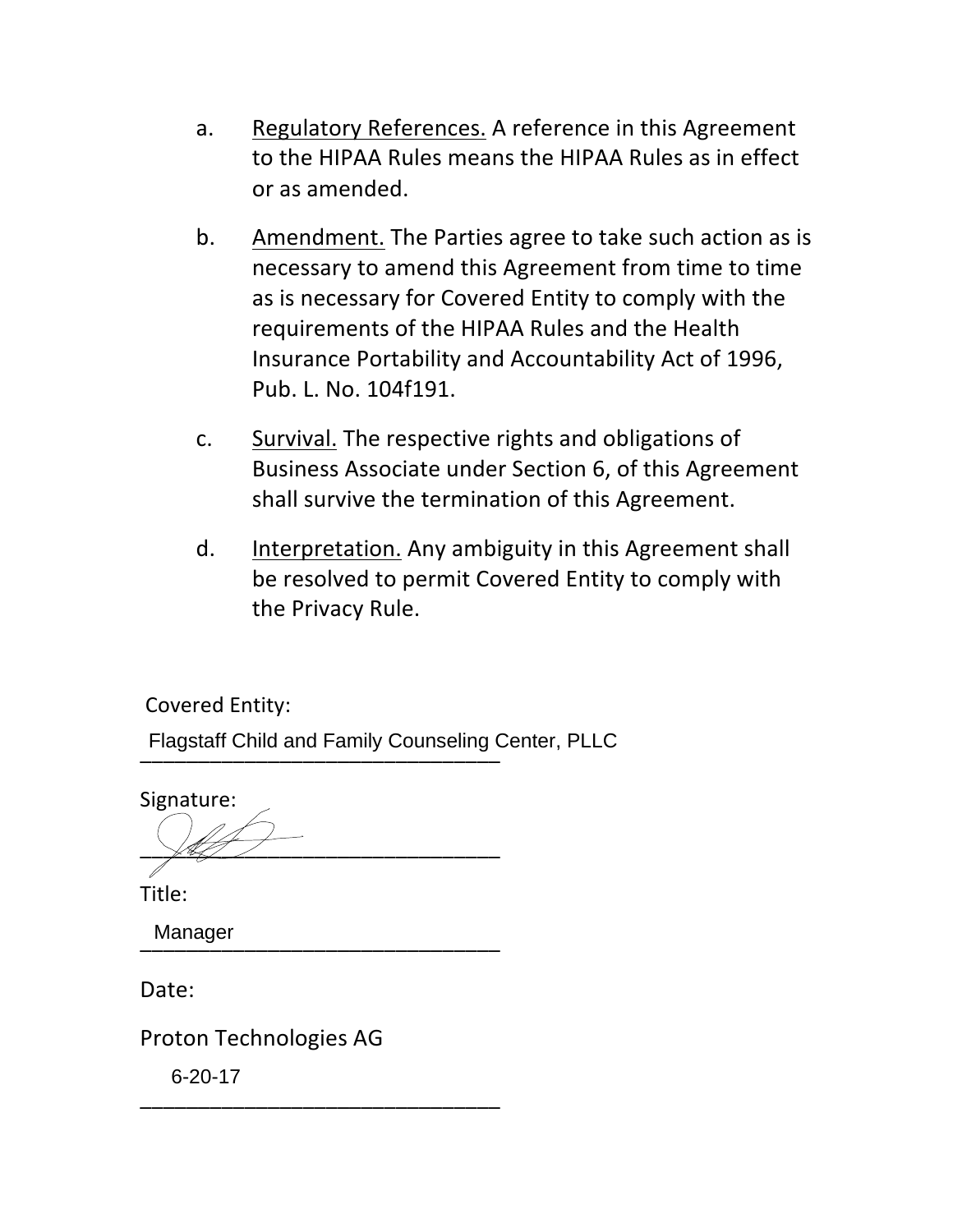- a. Regulatory References. A reference in this Agreement to the HIPAA Rules means the HIPAA Rules as in effect or as amended.
- b. Amendment. The Parties agree to take such action as is necessary to amend this Agreement from time to time as is necessary for Covered Entity to comply with the requirements of the HIPAA Rules and the Health Insurance Portability and Accountability Act of 1996, Pub. L. No. 104f191.
- c. Survival. The respective rights and obligations of Business Associate under Section 6, of this Agreement shall survive the termination of this Agreement.
- d. Interpretation. Any ambiguity in this Agreement shall be resolved to permit Covered Entity to comply with the Privacy Rule.

Covered Entity:

Flagstaff Child and Family Counseling Center, PLLC<br>————————————————————

Signature:  $\sqrt{4\pi}$ 

Title: 

\_\_\_\_\_\_\_\_\_\_\_\_\_\_\_\_\_\_\_\_\_\_\_\_\_\_\_\_\_\_\_ Manager

Date: 

Proton Technologies AG

\_\_\_\_\_\_\_\_\_\_\_\_\_\_\_\_\_\_\_\_\_\_\_\_\_\_\_\_\_\_\_ 6-20-17